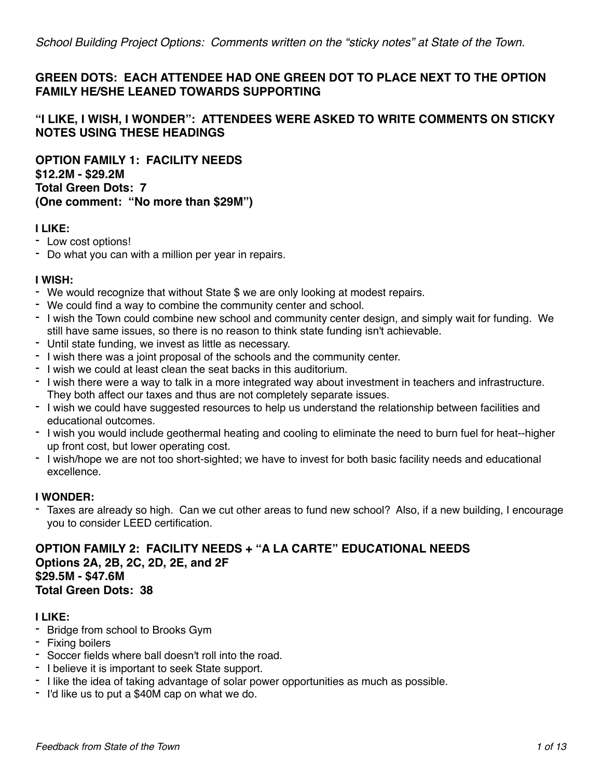# **GREEN DOTS: EACH ATTENDEE HAD ONE GREEN DOT TO PLACE NEXT TO THE OPTION FAMILY HE/SHE LEANED TOWARDS SUPPORTING**

# **"I LIKE, I WISH, I WONDER": ATTENDEES WERE ASKED TO WRITE COMMENTS ON STICKY NOTES USING THESE HEADINGS**

**OPTION FAMILY 1: FACILITY NEEDS \$12.2M - \$29.2M Total Green Dots: 7 (One comment: "No more than \$29M")**

### **I LIKE:**

- Low cost options!
- Do what you can with a million per year in repairs.

#### **I WISH:**

- We would recognize that without State \$ we are only looking at modest repairs.
- We could find a way to combine the community center and school.
- I wish the Town could combine new school and community center design, and simply wait for funding. We still have same issues, so there is no reason to think state funding isn't achievable.
- Until state funding, we invest as little as necessary.
- I wish there was a joint proposal of the schools and the community center.
- I wish we could at least clean the seat backs in this auditorium.
- I wish there were a way to talk in a more integrated way about investment in teachers and infrastructure. They both affect our taxes and thus are not completely separate issues.
- I wish we could have suggested resources to help us understand the relationship between facilities and educational outcomes.
- I wish you would include geothermal heating and cooling to eliminate the need to burn fuel for heat--higher up front cost, but lower operating cost.
- I wish/hope we are not too short-sighted; we have to invest for both basic facility needs and educational excellence.

#### **I WONDER:**

- Taxes are already so high. Can we cut other areas to fund new school? Also, if a new building, I encourage you to consider LEED certification.

**OPTION FAMILY 2: FACILITY NEEDS + "A LA CARTE" EDUCATIONAL NEEDS Options 2A, 2B, 2C, 2D, 2E, and 2F \$29.5M - \$47.6M Total Green Dots: 38**

#### **I LIKE:**

- Bridge from school to Brooks Gym
- Fixing boilers
- Soccer fields where ball doesn't roll into the road.
- I believe it is important to seek State support.
- I like the idea of taking advantage of solar power opportunities as much as possible.
- I'd like us to put a \$40M cap on what we do.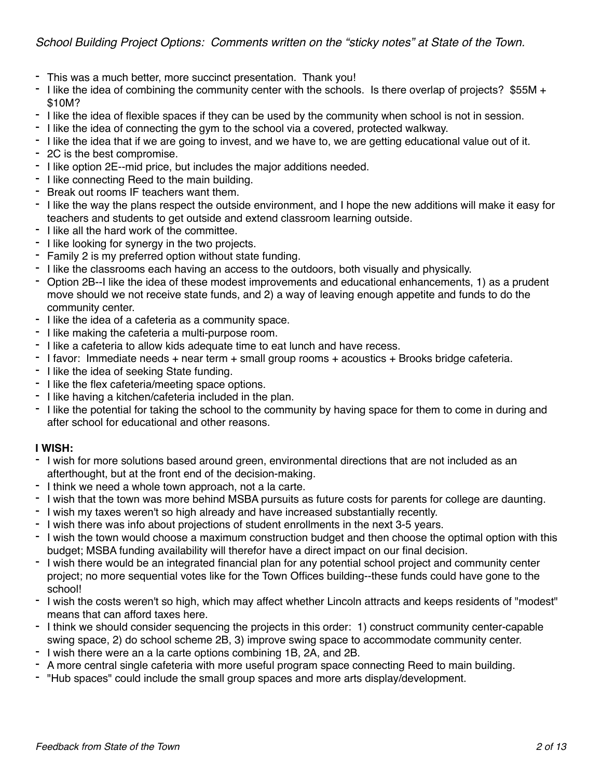- This was a much better, more succinct presentation. Thank you!
- I like the idea of combining the community center with the schools. Is there overlap of projects? \$55M + \$10M?
- I like the idea of flexible spaces if they can be used by the community when school is not in session.
- I like the idea of connecting the gym to the school via a covered, protected walkway.
- I like the idea that if we are going to invest, and we have to, we are getting educational value out of it.
- 2C is the best compromise.
- I like option 2E--mid price, but includes the major additions needed.
- I like connecting Reed to the main building.
- Break out rooms IF teachers want them.
- I like the way the plans respect the outside environment, and I hope the new additions will make it easy for teachers and students to get outside and extend classroom learning outside.
- I like all the hard work of the committee.
- I like looking for synergy in the two projects.
- Family 2 is my preferred option without state funding.
- I like the classrooms each having an access to the outdoors, both visually and physically.
- Option 2B--I like the idea of these modest improvements and educational enhancements, 1) as a prudent move should we not receive state funds, and 2) a way of leaving enough appetite and funds to do the community center.
- I like the idea of a cafeteria as a community space.
- I like making the cafeteria a multi-purpose room.
- I like a cafeteria to allow kids adequate time to eat lunch and have recess.
- I favor: Immediate needs + near term + small group rooms + acoustics + Brooks bridge cafeteria.
- I like the idea of seeking State funding.
- I like the flex cafeteria/meeting space options.
- I like having a kitchen/cafeteria included in the plan.
- I like the potential for taking the school to the community by having space for them to come in during and after school for educational and other reasons.

#### **I WISH:**

- I wish for more solutions based around green, environmental directions that are not included as an afterthought, but at the front end of the decision-making.
- I think we need a whole town approach, not a la carte.
- I wish that the town was more behind MSBA pursuits as future costs for parents for college are daunting.
- I wish my taxes weren't so high already and have increased substantially recently.
- I wish there was info about projections of student enrollments in the next 3-5 years.
- I wish the town would choose a maximum construction budget and then choose the optimal option with this budget; MSBA funding availability will therefor have a direct impact on our final decision.
- I wish there would be an integrated financial plan for any potential school project and community center project; no more sequential votes like for the Town Offices building--these funds could have gone to the school!
- I wish the costs weren't so high, which may affect whether Lincoln attracts and keeps residents of "modest" means that can afford taxes here.
- I think we should consider sequencing the projects in this order: 1) construct community center-capable swing space, 2) do school scheme 2B, 3) improve swing space to accommodate community center.
- I wish there were an a la carte options combining 1B, 2A, and 2B.
- A more central single cafeteria with more useful program space connecting Reed to main building.
- "Hub spaces" could include the small group spaces and more arts display/development.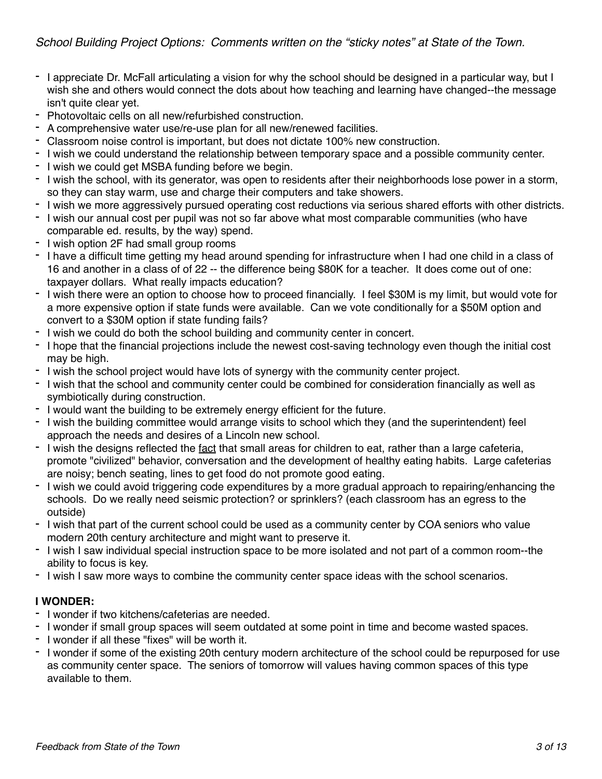- I appreciate Dr. McFall articulating a vision for why the school should be designed in a particular way, but I wish she and others would connect the dots about how teaching and learning have changed--the message isn't quite clear yet.
- Photovoltaic cells on all new/refurbished construction.
- A comprehensive water use/re-use plan for all new/renewed facilities.
- Classroom noise control is important, but does not dictate 100% new construction.
- I wish we could understand the relationship between temporary space and a possible community center.
- I wish we could get MSBA funding before we begin.
- I wish the school, with its generator, was open to residents after their neighborhoods lose power in a storm, so they can stay warm, use and charge their computers and take showers.
- I wish we more aggressively pursued operating cost reductions via serious shared efforts with other districts.
- I wish our annual cost per pupil was not so far above what most comparable communities (who have comparable ed. results, by the way) spend.
- I wish option 2F had small group rooms
- I have a difficult time getting my head around spending for infrastructure when I had one child in a class of 16 and another in a class of of 22 -- the difference being \$80K for a teacher. It does come out of one: taxpayer dollars. What really impacts education?
- I wish there were an option to choose how to proceed financially. I feel \$30M is my limit, but would vote for a more expensive option if state funds were available. Can we vote conditionally for a \$50M option and convert to a \$30M option if state funding fails?
- I wish we could do both the school building and community center in concert.
- I hope that the financial projections include the newest cost-saving technology even though the initial cost may be high.
- I wish the school project would have lots of synergy with the community center project.
- I wish that the school and community center could be combined for consideration financially as well as symbiotically during construction.
- I would want the building to be extremely energy efficient for the future.
- I wish the building committee would arrange visits to school which they (and the superintendent) feel approach the needs and desires of a Lincoln new school.
- I wish the designs reflected the fact that small areas for children to eat, rather than a large cafeteria, promote "civilized" behavior, conversation and the development of healthy eating habits. Large cafeterias are noisy; bench seating, lines to get food do not promote good eating.
- I wish we could avoid triggering code expenditures by a more gradual approach to repairing/enhancing the schools. Do we really need seismic protection? or sprinklers? (each classroom has an egress to the outside)
- I wish that part of the current school could be used as a community center by COA seniors who value modern 20th century architecture and might want to preserve it.
- I wish I saw individual special instruction space to be more isolated and not part of a common room--the ability to focus is key.
- I wish I saw more ways to combine the community center space ideas with the school scenarios.

#### **I WONDER:**

- I wonder if two kitchens/cafeterias are needed.
- I wonder if small group spaces will seem outdated at some point in time and become wasted spaces.
- I wonder if all these "fixes" will be worth it.
- I wonder if some of the existing 20th century modern architecture of the school could be repurposed for use as community center space. The seniors of tomorrow will values having common spaces of this type available to them.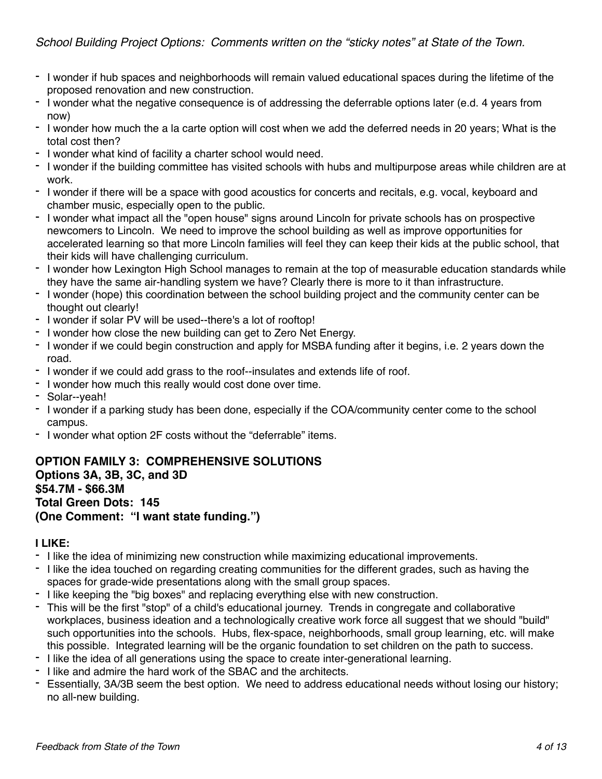- I wonder if hub spaces and neighborhoods will remain valued educational spaces during the lifetime of the proposed renovation and new construction.
- I wonder what the negative consequence is of addressing the deferrable options later (e.d. 4 years from now)
- I wonder how much the a la carte option will cost when we add the deferred needs in 20 years; What is the total cost then?
- I wonder what kind of facility a charter school would need.
- I wonder if the building committee has visited schools with hubs and multipurpose areas while children are at work.
- I wonder if there will be a space with good acoustics for concerts and recitals, e.g. vocal, keyboard and chamber music, especially open to the public.
- I wonder what impact all the "open house" signs around Lincoln for private schools has on prospective newcomers to Lincoln. We need to improve the school building as well as improve opportunities for accelerated learning so that more Lincoln families will feel they can keep their kids at the public school, that their kids will have challenging curriculum.
- I wonder how Lexington High School manages to remain at the top of measurable education standards while they have the same air-handling system we have? Clearly there is more to it than infrastructure.
- I wonder (hope) this coordination between the school building project and the community center can be thought out clearly!
- I wonder if solar PV will be used--there's a lot of rooftop!
- I wonder how close the new building can get to Zero Net Energy.
- I wonder if we could begin construction and apply for MSBA funding after it begins, i.e. 2 years down the road.
- I wonder if we could add grass to the roof--insulates and extends life of roof.
- I wonder how much this really would cost done over time.
- Solar--yeah!
- I wonder if a parking study has been done, especially if the COA/community center come to the school campus.
- I wonder what option 2F costs without the "deferrable" items.

## **OPTION FAMILY 3: COMPREHENSIVE SOLUTIONS Options 3A, 3B, 3C, and 3D \$54.7M - \$66.3M Total Green Dots: 145 (One Comment: "I want state funding.")**

### **I LIKE:**

- I like the idea of minimizing new construction while maximizing educational improvements.
- I like the idea touched on regarding creating communities for the different grades, such as having the spaces for grade-wide presentations along with the small group spaces.
- I like keeping the "big boxes" and replacing everything else with new construction.
- This will be the first "stop" of a child's educational journey. Trends in congregate and collaborative workplaces, business ideation and a technologically creative work force all suggest that we should "build" such opportunities into the schools. Hubs, flex-space, neighborhoods, small group learning, etc. will make this possible. Integrated learning will be the organic foundation to set children on the path to success.
- I like the idea of all generations using the space to create inter-generational learning.
- I like and admire the hard work of the SBAC and the architects.
- Essentially, 3A/3B seem the best option. We need to address educational needs without losing our history; no all-new building.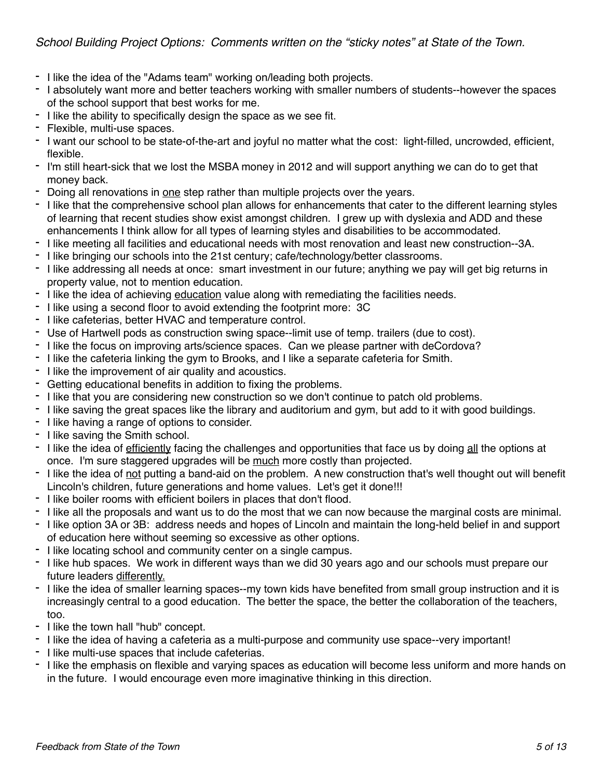- I like the idea of the "Adams team" working on/leading both projects.
- I absolutely want more and better teachers working with smaller numbers of students--however the spaces of the school support that best works for me.
- I like the ability to specifically design the space as we see fit.
- Flexible, multi-use spaces.
- I want our school to be state-of-the-art and joyful no matter what the cost: light-filled, uncrowded, efficient, flexible.
- I'm still heart-sick that we lost the MSBA money in 2012 and will support anything we can do to get that money back.
- Doing all renovations in one step rather than multiple projects over the years.
- I like that the comprehensive school plan allows for enhancements that cater to the different learning styles of learning that recent studies show exist amongst children. I grew up with dyslexia and ADD and these enhancements I think allow for all types of learning styles and disabilities to be accommodated.
- I like meeting all facilities and educational needs with most renovation and least new construction--3A.
- I like bringing our schools into the 21st century; cafe/technology/better classrooms.
- I like addressing all needs at once: smart investment in our future; anything we pay will get big returns in property value, not to mention education.
- I like the idea of achieving education value along with remediating the facilities needs.
- I like using a second floor to avoid extending the footprint more: 3C
- I like cafeterias, better HVAC and temperature control.
- Use of Hartwell pods as construction swing space--limit use of temp. trailers (due to cost).
- I like the focus on improving arts/science spaces. Can we please partner with deCordova?
- I like the cafeteria linking the gym to Brooks, and I like a separate cafeteria for Smith.
- I like the improvement of air quality and acoustics.
- Getting educational benefits in addition to fixing the problems.
- I like that you are considering new construction so we don't continue to patch old problems.
- I like saving the great spaces like the library and auditorium and gym, but add to it with good buildings.
- I like having a range of options to consider.
- I like saving the Smith school.
- I like the idea of efficiently facing the challenges and opportunities that face us by doing all the options at once. I'm sure staggered upgrades will be much more costly than projected.
- I like the idea of not putting a band-aid on the problem. A new construction that's well thought out will benefit Lincoln's children, future generations and home values. Let's get it done!!!
- I like boiler rooms with efficient boilers in places that don't flood.
- I like all the proposals and want us to do the most that we can now because the marginal costs are minimal.
- I like option 3A or 3B: address needs and hopes of Lincoln and maintain the long-held belief in and support of education here without seeming so excessive as other options.
- I like locating school and community center on a single campus.
- I like hub spaces. We work in different ways than we did 30 years ago and our schools must prepare our future leaders differently.
- I like the idea of smaller learning spaces--my town kids have benefited from small group instruction and it is increasingly central to a good education. The better the space, the better the collaboration of the teachers, too.
- I like the town hall "hub" concept.
- I like the idea of having a cafeteria as a multi-purpose and community use space--very important!
- I like multi-use spaces that include cafeterias.
- I like the emphasis on flexible and varying spaces as education will become less uniform and more hands on in the future. I would encourage even more imaginative thinking in this direction.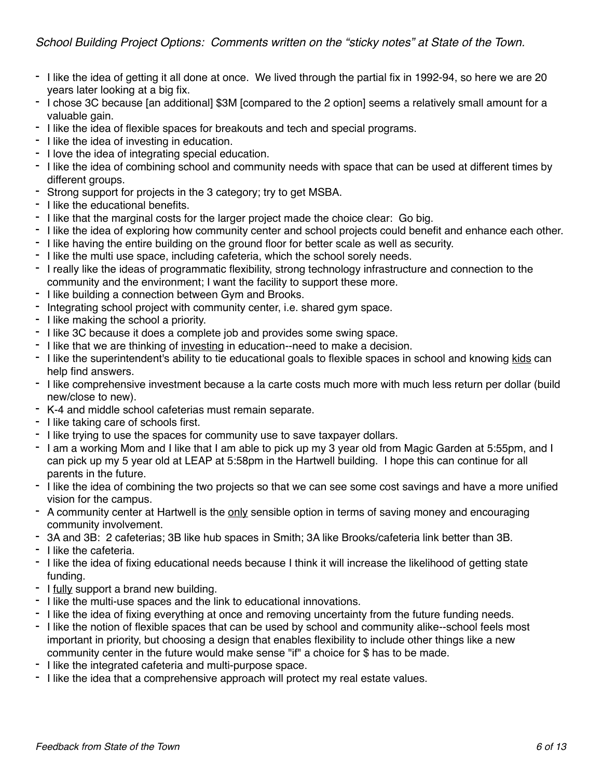- I like the idea of getting it all done at once. We lived through the partial fix in 1992-94, so here we are 20 years later looking at a big fix.
- I chose 3C because [an additional] \$3M [compared to the 2 option] seems a relatively small amount for a valuable gain.
- I like the idea of flexible spaces for breakouts and tech and special programs.
- I like the idea of investing in education.
- I love the idea of integrating special education.
- I like the idea of combining school and community needs with space that can be used at different times by different groups.
- Strong support for projects in the 3 category; try to get MSBA.
- I like the educational benefits.
- I like that the marginal costs for the larger project made the choice clear: Go big.
- I like the idea of exploring how community center and school projects could benefit and enhance each other.
- I like having the entire building on the ground floor for better scale as well as security.
- I like the multi use space, including cafeteria, which the school sorely needs.
- I really like the ideas of programmatic flexibility, strong technology infrastructure and connection to the community and the environment; I want the facility to support these more.
- I like building a connection between Gym and Brooks.
- Integrating school project with community center, i.e. shared gym space.
- I like making the school a priority.
- I like 3C because it does a complete job and provides some swing space.
- I like that we are thinking of investing in education--need to make a decision.
- I like the superintendent's ability to tie educational goals to flexible spaces in school and knowing kids can help find answers.
- I like comprehensive investment because a la carte costs much more with much less return per dollar (build new/close to new).
- K-4 and middle school cafeterias must remain separate.
- I like taking care of schools first.
- I like trying to use the spaces for community use to save taxpayer dollars.
- I am a working Mom and I like that I am able to pick up my 3 year old from Magic Garden at 5:55pm, and I can pick up my 5 year old at LEAP at 5:58pm in the Hartwell building. I hope this can continue for all parents in the future.
- I like the idea of combining the two projects so that we can see some cost savings and have a more unified vision for the campus.
- A community center at Hartwell is the only sensible option in terms of saving money and encouraging community involvement.
- 3A and 3B: 2 cafeterias; 3B like hub spaces in Smith; 3A like Brooks/cafeteria link better than 3B.
- I like the cafeteria.
- I like the idea of fixing educational needs because I think it will increase the likelihood of getting state funding.
- I fully support a brand new building.
- I like the multi-use spaces and the link to educational innovations.
- I like the idea of fixing everything at once and removing uncertainty from the future funding needs.
- I like the notion of flexible spaces that can be used by school and community alike--school feels most important in priority, but choosing a design that enables flexibility to include other things like a new community center in the future would make sense "if" a choice for \$ has to be made.
- I like the integrated cafeteria and multi-purpose space.
- I like the idea that a comprehensive approach will protect my real estate values.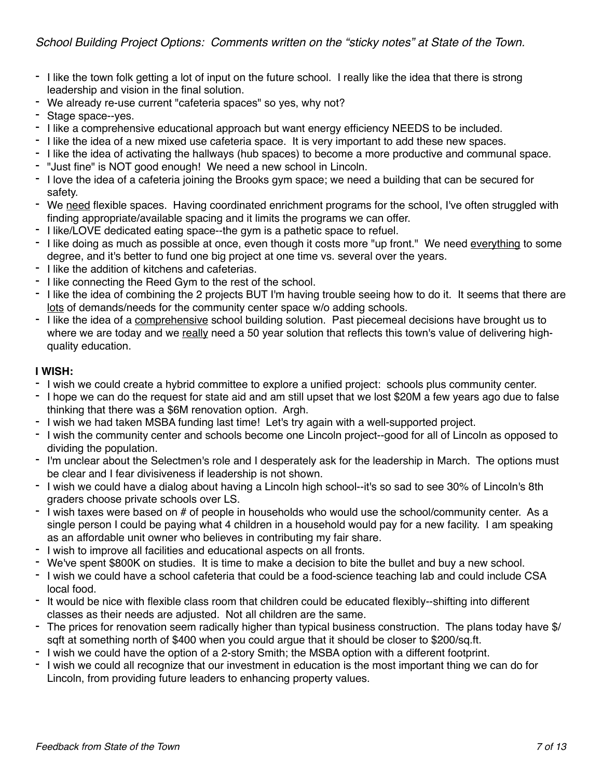- I like the town folk getting a lot of input on the future school. I really like the idea that there is strong leadership and vision in the final solution.
- We already re-use current "cafeteria spaces" so yes, why not?
- Stage space--yes.
- I like a comprehensive educational approach but want energy efficiency NEEDS to be included.
- I like the idea of a new mixed use cafeteria space. It is very important to add these new spaces.
- I like the idea of activating the hallways (hub spaces) to become a more productive and communal space.
- "Just fine" is NOT good enough! We need a new school in Lincoln.
- I love the idea of a cafeteria joining the Brooks gym space; we need a building that can be secured for safety.
- We need flexible spaces. Having coordinated enrichment programs for the school, I've often struggled with finding appropriate/available spacing and it limits the programs we can offer.
- I like/LOVE dedicated eating space--the gym is a pathetic space to refuel.
- I like doing as much as possible at once, even though it costs more "up front." We need everything to some degree, and it's better to fund one big project at one time vs. several over the years.
- I like the addition of kitchens and cafeterias.
- I like connecting the Reed Gym to the rest of the school.
- I like the idea of combining the 2 projects BUT I'm having trouble seeing how to do it. It seems that there are lots of demands/needs for the community center space w/o adding schools.
- I like the idea of a comprehensive school building solution. Past piecemeal decisions have brought us to where we are today and we really need a 50 year solution that reflects this town's value of delivering highquality education.

#### **I WISH:**

- I wish we could create a hybrid committee to explore a unified project: schools plus community center.
- I hope we can do the request for state aid and am still upset that we lost \$20M a few years ago due to false thinking that there was a \$6M renovation option. Argh.
- I wish we had taken MSBA funding last time! Let's try again with a well-supported project.
- I wish the community center and schools become one Lincoln project--good for all of Lincoln as opposed to dividing the population.
- I'm unclear about the Selectmen's role and I desperately ask for the leadership in March. The options must be clear and I fear divisiveness if leadership is not shown.
- I wish we could have a dialog about having a Lincoln high school--it's so sad to see 30% of Lincoln's 8th graders choose private schools over LS.
- I wish taxes were based on # of people in households who would use the school/community center. As a single person I could be paying what 4 children in a household would pay for a new facility. I am speaking as an affordable unit owner who believes in contributing my fair share.
- I wish to improve all facilities and educational aspects on all fronts.
- We've spent \$800K on studies. It is time to make a decision to bite the bullet and buy a new school.
- I wish we could have a school cafeteria that could be a food-science teaching lab and could include CSA local food.
- It would be nice with flexible class room that children could be educated flexibly--shifting into different classes as their needs are adjusted. Not all children are the same.
- The prices for renovation seem radically higher than typical business construction. The plans today have \$/ sqft at something north of \$400 when you could argue that it should be closer to \$200/sq.ft.
- I wish we could have the option of a 2-story Smith; the MSBA option with a different footprint.
- I wish we could all recognize that our investment in education is the most important thing we can do for Lincoln, from providing future leaders to enhancing property values.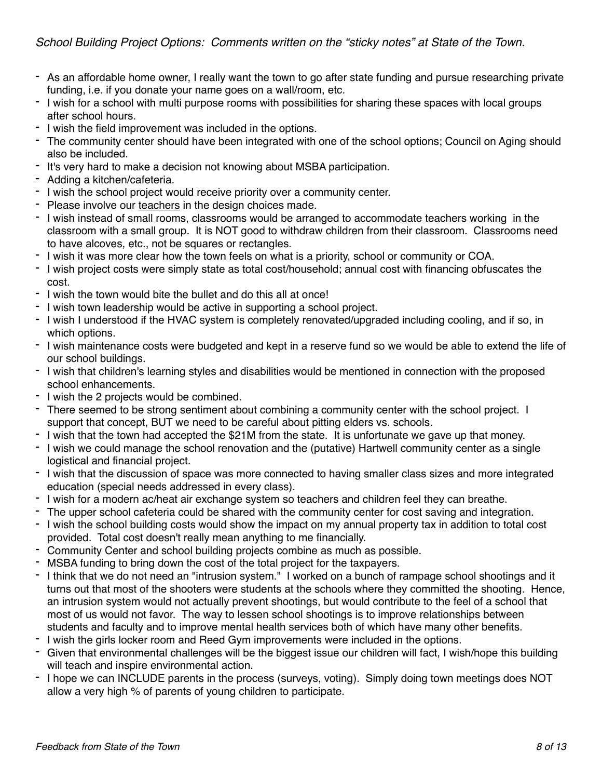- As an affordable home owner, I really want the town to go after state funding and pursue researching private funding, i.e. if you donate your name goes on a wall/room, etc.
- I wish for a school with multi purpose rooms with possibilities for sharing these spaces with local groups after school hours.
- I wish the field improvement was included in the options.
- The community center should have been integrated with one of the school options; Council on Aging should also be included.
- It's very hard to make a decision not knowing about MSBA participation.
- Adding a kitchen/cafeteria.
- I wish the school project would receive priority over a community center.
- Please involve our teachers in the design choices made.
- I wish instead of small rooms, classrooms would be arranged to accommodate teachers working in the classroom with a small group. It is NOT good to withdraw children from their classroom. Classrooms need to have alcoves, etc., not be squares or rectangles.
- I wish it was more clear how the town feels on what is a priority, school or community or COA.
- I wish project costs were simply state as total cost/household; annual cost with financing obfuscates the cost.
- I wish the town would bite the bullet and do this all at once!
- I wish town leadership would be active in supporting a school project.
- I wish I understood if the HVAC system is completely renovated/upgraded including cooling, and if so, in which options.
- I wish maintenance costs were budgeted and kept in a reserve fund so we would be able to extend the life of our school buildings.
- I wish that children's learning styles and disabilities would be mentioned in connection with the proposed school enhancements.
- I wish the 2 projects would be combined.
- There seemed to be strong sentiment about combining a community center with the school project. I support that concept, BUT we need to be careful about pitting elders vs. schools.
- I wish that the town had accepted the \$21M from the state. It is unfortunate we gave up that money.
- I wish we could manage the school renovation and the (putative) Hartwell community center as a single logistical and financial project.
- I wish that the discussion of space was more connected to having smaller class sizes and more integrated education (special needs addressed in every class).
- I wish for a modern ac/heat air exchange system so teachers and children feel they can breathe.
- The upper school cafeteria could be shared with the community center for cost saving and integration.
- I wish the school building costs would show the impact on my annual property tax in addition to total cost provided. Total cost doesn't really mean anything to me financially.
- Community Center and school building projects combine as much as possible.
- MSBA funding to bring down the cost of the total project for the taxpayers.
- I think that we do not need an "intrusion system." I worked on a bunch of rampage school shootings and it turns out that most of the shooters were students at the schools where they committed the shooting. Hence, an intrusion system would not actually prevent shootings, but would contribute to the feel of a school that most of us would not favor. The way to lessen school shootings is to improve relationships between students and faculty and to improve mental health services both of which have many other benefits.
- I wish the girls locker room and Reed Gym improvements were included in the options.
- Given that environmental challenges will be the biggest issue our children will fact, I wish/hope this building will teach and inspire environmental action.
- I hope we can INCLUDE parents in the process (surveys, voting). Simply doing town meetings does NOT allow a very high % of parents of young children to participate.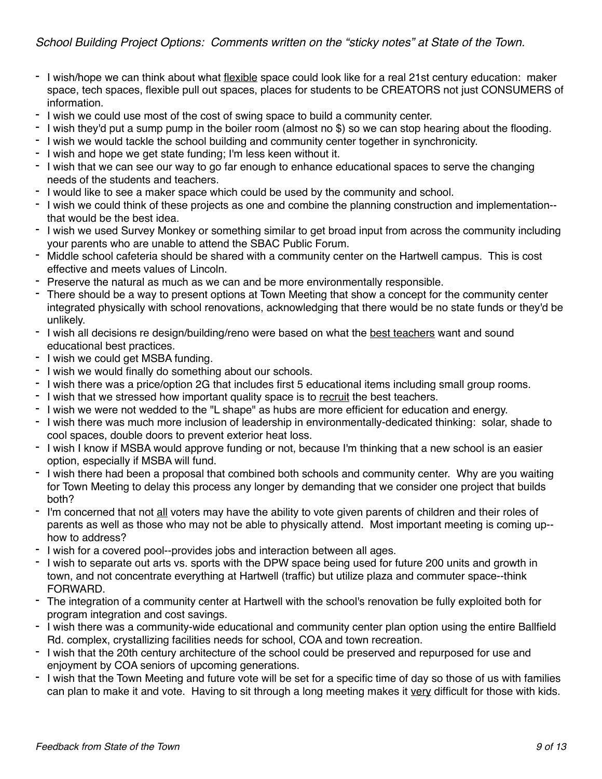- I wish/hope we can think about what flexible space could look like for a real 21st century education: maker space, tech spaces, flexible pull out spaces, places for students to be CREATORS not just CONSUMERS of information.
- I wish we could use most of the cost of swing space to build a community center.
- I wish they'd put a sump pump in the boiler room (almost no \$) so we can stop hearing about the flooding.
- I wish we would tackle the school building and community center together in synchronicity.
- I wish and hope we get state funding; I'm less keen without it.
- I wish that we can see our way to go far enough to enhance educational spaces to serve the changing needs of the students and teachers.
- I would like to see a maker space which could be used by the community and school.
- I wish we could think of these projects as one and combine the planning construction and implementation- that would be the best idea.
- I wish we used Survey Monkey or something similar to get broad input from across the community including your parents who are unable to attend the SBAC Public Forum.
- Middle school cafeteria should be shared with a community center on the Hartwell campus. This is cost effective and meets values of Lincoln.
- Preserve the natural as much as we can and be more environmentally responsible.
- There should be a way to present options at Town Meeting that show a concept for the community center integrated physically with school renovations, acknowledging that there would be no state funds or they'd be unlikely.
- I wish all decisions re design/building/reno were based on what the best teachers want and sound educational best practices.
- I wish we could get MSBA funding.
- I wish we would finally do something about our schools.
- I wish there was a price/option 2G that includes first 5 educational items including small group rooms.
- I wish that we stressed how important quality space is to recruit the best teachers.
- I wish we were not wedded to the "L shape" as hubs are more efficient for education and energy.
- I wish there was much more inclusion of leadership in environmentally-dedicated thinking: solar, shade to cool spaces, double doors to prevent exterior heat loss.
- I wish I know if MSBA would approve funding or not, because I'm thinking that a new school is an easier option, especially if MSBA will fund.
- I wish there had been a proposal that combined both schools and community center. Why are you waiting for Town Meeting to delay this process any longer by demanding that we consider one project that builds both?
- I'm concerned that not all voters may have the ability to vote given parents of children and their roles of parents as well as those who may not be able to physically attend. Most important meeting is coming up- how to address?
- I wish for a covered pool--provides jobs and interaction between all ages.
- I wish to separate out arts vs. sports with the DPW space being used for future 200 units and growth in town, and not concentrate everything at Hartwell (traffic) but utilize plaza and commuter space--think FORWARD.
- The integration of a community center at Hartwell with the school's renovation be fully exploited both for program integration and cost savings.
- I wish there was a community-wide educational and community center plan option using the entire Ballfield Rd. complex, crystallizing facilities needs for school, COA and town recreation.
- I wish that the 20th century architecture of the school could be preserved and repurposed for use and enjoyment by COA seniors of upcoming generations.
- I wish that the Town Meeting and future vote will be set for a specific time of day so those of us with families can plan to make it and vote. Having to sit through a long meeting makes it very difficult for those with kids.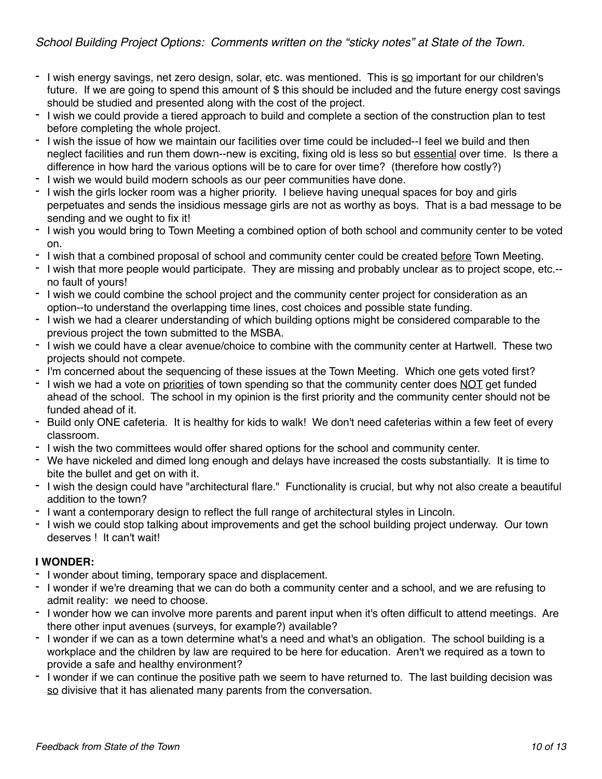- I wish energy savings, net zero design, solar, etc. was mentioned. This is so important for our children's future. If we are going to spend this amount of \$ this should be included and the future energy cost savings should be studied and presented along with the cost of the project.
- I wish we could provide a tiered approach to build and complete a section of the construction plan to test before completing the whole project.
- I wish the issue of how we maintain our facilities over time could be included--I feel we build and then neglect facilities and run them down--new is exciting, fixing old is less so but essential over time. Is there a difference in how hard the various options will be to care for over time? (therefore how costly?)
- I wish we would build modern schools as our peer communities have done.
- I wish the girls locker room was a higher priority. I believe having unequal spaces for boy and girls perpetuates and sends the insidious message girls are not as worthy as boys. That is a bad message to be sending and we ought to fix it!
- I wish you would bring to Town Meeting a combined option of both school and community center to be voted on.
- I wish that a combined proposal of school and community center could be created before Town Meeting.
- I wish that more people would participate. They are missing and probably unclear as to project scope, etc.- no fault of yours!
- I wish we could combine the school project and the community center project for consideration as an option--to understand the overlapping time lines, cost choices and possible state funding.
- I wish we had a clearer understanding of which building options might be considered comparable to the previous project the town submitted to the MSBA.
- I wish we could have a clear avenue/choice to combine with the community center at Hartwell. These two projects should not compete.
- I'm concerned about the sequencing of these issues at the Town Meeting. Which one gets voted first?
- I wish we had a vote on priorities of town spending so that the community center does NOT get funded ahead of the school. The school in my opinion is the first priority and the community center should not be funded ahead of it.
- Build only ONE cafeteria. It is healthy for kids to walk! We don't need cafeterias within a few feet of every classroom.
- I wish the two committees would offer shared options for the school and community center.
- We have nickeled and dimed long enough and delays have increased the costs substantially. It is time to bite the bullet and get on with it.
- I wish the design could have "architectural flare." Functionality is crucial, but why not also create a beautiful addition to the town?
- I want a contemporary design to reflect the full range of architectural styles in Lincoln.
- I wish we could stop talking about improvements and get the school building project underway. Our town deserves ! It can't wait!

#### **I WONDER:**

- I wonder about timing, temporary space and displacement.
- I wonder if we're dreaming that we can do both a community center and a school, and we are refusing to admit reality: we need to choose.
- I wonder how we can involve more parents and parent input when it's often difficult to attend meetings. Are there other input avenues (surveys, for example?) available?
- I wonder if we can as a town determine what's a need and what's an obligation. The school building is a workplace and the children by law are required to be here for education. Aren't we required as a town to provide a safe and healthy environment?
- I wonder if we can continue the positive path we seem to have returned to. The last building decision was so divisive that it has alienated many parents from the conversation.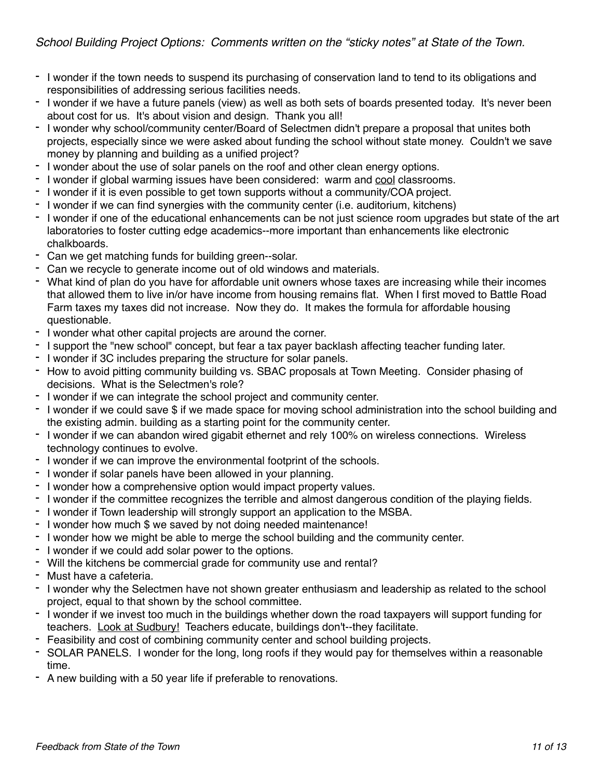- I wonder if the town needs to suspend its purchasing of conservation land to tend to its obligations and responsibilities of addressing serious facilities needs.
- I wonder if we have a future panels (view) as well as both sets of boards presented today. It's never been about cost for us. It's about vision and design. Thank you all!
- I wonder why school/community center/Board of Selectmen didn't prepare a proposal that unites both projects, especially since we were asked about funding the school without state money. Couldn't we save money by planning and building as a unified project?
- I wonder about the use of solar panels on the roof and other clean energy options.
- I wonder if global warming issues have been considered: warm and cool classrooms.
- I wonder if it is even possible to get town supports without a community/COA project.
- I wonder if we can find synergies with the community center (i.e. auditorium, kitchens)
- I wonder if one of the educational enhancements can be not just science room upgrades but state of the art laboratories to foster cutting edge academics--more important than enhancements like electronic chalkboards.
- Can we get matching funds for building green--solar.
- Can we recycle to generate income out of old windows and materials.
- What kind of plan do you have for affordable unit owners whose taxes are increasing while their incomes that allowed them to live in/or have income from housing remains flat. When I first moved to Battle Road Farm taxes my taxes did not increase. Now they do. It makes the formula for affordable housing questionable.
- I wonder what other capital projects are around the corner.
- I support the "new school" concept, but fear a tax payer backlash affecting teacher funding later.
- I wonder if 3C includes preparing the structure for solar panels.
- How to avoid pitting community building vs. SBAC proposals at Town Meeting. Consider phasing of decisions. What is the Selectmen's role?
- I wonder if we can integrate the school project and community center.
- I wonder if we could save \$ if we made space for moving school administration into the school building and the existing admin. building as a starting point for the community center.
- I wonder if we can abandon wired gigabit ethernet and rely 100% on wireless connections. Wireless technology continues to evolve.
- I wonder if we can improve the environmental footprint of the schools.
- I wonder if solar panels have been allowed in your planning.
- I wonder how a comprehensive option would impact property values.
- I wonder if the committee recognizes the terrible and almost dangerous condition of the playing fields.
- I wonder if Town leadership will strongly support an application to the MSBA.
- I wonder how much \$ we saved by not doing needed maintenance!
- I wonder how we might be able to merge the school building and the community center.
- I wonder if we could add solar power to the options.
- Will the kitchens be commercial grade for community use and rental?
- Must have a cafeteria.
- I wonder why the Selectmen have not shown greater enthusiasm and leadership as related to the school project, equal to that shown by the school committee.
- I wonder if we invest too much in the buildings whether down the road taxpayers will support funding for teachers. Look at Sudbury! Teachers educate, buildings don't--they facilitate.
- Feasibility and cost of combining community center and school building projects.
- SOLAR PANELS. I wonder for the long, long roofs if they would pay for themselves within a reasonable time.
- A new building with a 50 year life if preferable to renovations.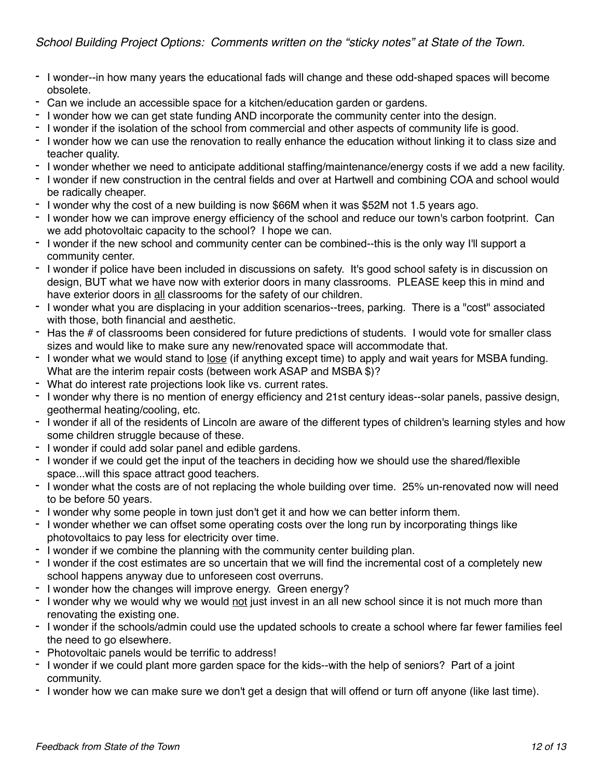- I wonder--in how many years the educational fads will change and these odd-shaped spaces will become obsolete.
- Can we include an accessible space for a kitchen/education garden or gardens.
- I wonder how we can get state funding AND incorporate the community center into the design.
- I wonder if the isolation of the school from commercial and other aspects of community life is good.
- I wonder how we can use the renovation to really enhance the education without linking it to class size and teacher quality.
- I wonder whether we need to anticipate additional staffing/maintenance/energy costs if we add a new facility.
- I wonder if new construction in the central fields and over at Hartwell and combining COA and school would be radically cheaper.
- I wonder why the cost of a new building is now \$66M when it was \$52M not 1.5 years ago.
- I wonder how we can improve energy efficiency of the school and reduce our town's carbon footprint. Can we add photovoltaic capacity to the school? I hope we can.
- I wonder if the new school and community center can be combined--this is the only way I'll support a community center.
- I wonder if police have been included in discussions on safety. It's good school safety is in discussion on design, BUT what we have now with exterior doors in many classrooms. PLEASE keep this in mind and have exterior doors in all classrooms for the safety of our children.
- I wonder what you are displacing in your addition scenarios--trees, parking. There is a "cost" associated with those, both financial and aesthetic.
- Has the # of classrooms been considered for future predictions of students. I would vote for smaller class sizes and would like to make sure any new/renovated space will accommodate that.
- I wonder what we would stand to lose (if anything except time) to apply and wait years for MSBA funding. What are the interim repair costs (between work ASAP and MSBA \$)?
- What do interest rate projections look like vs. current rates.
- I wonder why there is no mention of energy efficiency and 21st century ideas--solar panels, passive design, geothermal heating/cooling, etc.
- I wonder if all of the residents of Lincoln are aware of the different types of children's learning styles and how some children struggle because of these.
- I wonder if could add solar panel and edible gardens.
- I wonder if we could get the input of the teachers in deciding how we should use the shared/flexible space...will this space attract good teachers.
- I wonder what the costs are of not replacing the whole building over time. 25% un-renovated now will need to be before 50 years.
- I wonder why some people in town just don't get it and how we can better inform them.
- I wonder whether we can offset some operating costs over the long run by incorporating things like photovoltaics to pay less for electricity over time.
- I wonder if we combine the planning with the community center building plan.
- I wonder if the cost estimates are so uncertain that we will find the incremental cost of a completely new school happens anyway due to unforeseen cost overruns.
- I wonder how the changes will improve energy. Green energy?
- I wonder why we would why we would not just invest in an all new school since it is not much more than renovating the existing one.
- I wonder if the schools/admin could use the updated schools to create a school where far fewer families feel the need to go elsewhere.
- Photovoltaic panels would be terrific to address!
- I wonder if we could plant more garden space for the kids--with the help of seniors? Part of a joint community.
- I wonder how we can make sure we don't get a design that will offend or turn off anyone (like last time).